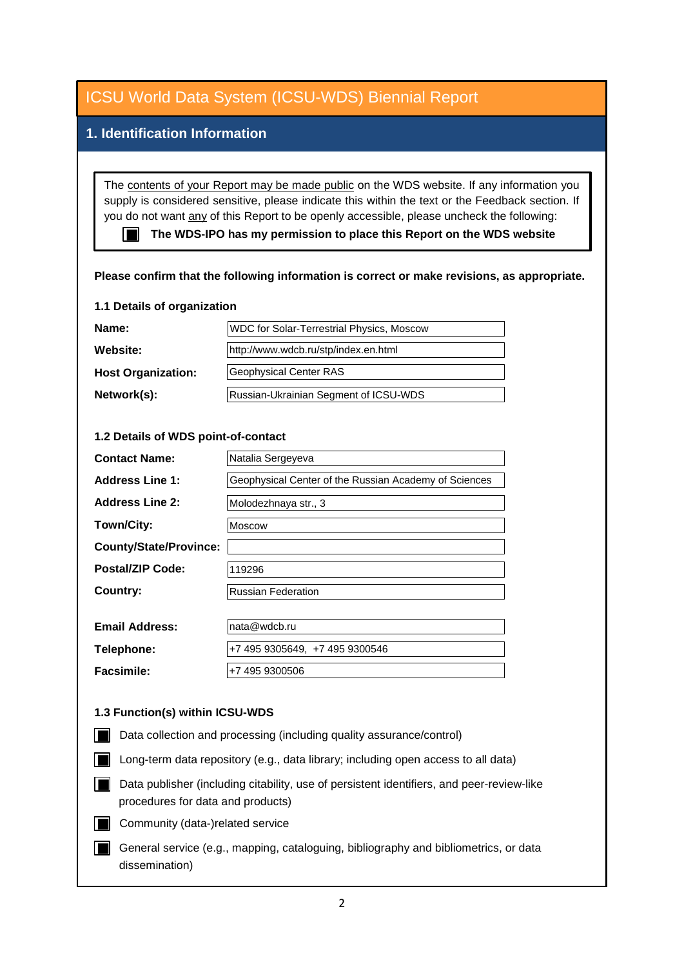## **1. Identification Information**

The contents of your Report may be made public on the WDS website. If any information you supply is considered sensitive, please indicate this within the text or the Feedback section. If you do not want any of this Report to be openly accessible, please uncheck the following:

■ The WDS-IPO has my permission to place this Report on the WDS website

#### **Please confirm that the following information is correct or make revisions, as appropriate.**

#### **1.1 Details of organization**

| Name:                     | WDC for Solar-Terrestrial Physics, Moscow |
|---------------------------|-------------------------------------------|
| <b>Website:</b>           | http://www.wdcb.ru/stp/index.en.html      |
| <b>Host Organization:</b> | Geophysical Center RAS                    |
| Network(s):               | Russian-Ukrainian Segment of ICSU-WDS     |

#### **1.2 Details of WDS point-of-contact**

| <b>Contact Name:</b>          | Natalia Sergeyeva                                     |
|-------------------------------|-------------------------------------------------------|
| <b>Address Line 1:</b>        | Geophysical Center of the Russian Academy of Sciences |
| <b>Address Line 2:</b>        | Molodezhnaya str., 3                                  |
| Town/City:                    | <b>Moscow</b>                                         |
| <b>County/State/Province:</b> |                                                       |
| Postal/ZIP Code:              | 119296                                                |
| Country:                      | <b>Russian Federation</b>                             |
|                               |                                                       |
| <b>Email Address:</b>         | nata@wdcb.ru                                          |
| Telephone:                    | +7 495 9305649, +7 495 9300546                        |
| <b>Facsimile:</b>             | +7 495 9300506                                        |

#### **1.3 Function(s) within ICSU-WDS**

- Data collection and processing (including quality assurance/control)
- Long-term data repository (e.g., data library; including open access to all data)
- Data publisher (including citability, use of persistent identifiers, and peer-review-like procedures for data and products)
- Community (data-)related service
- General service (e.g., mapping, cataloguing, bibliography and bibliometrics, or data dissemination)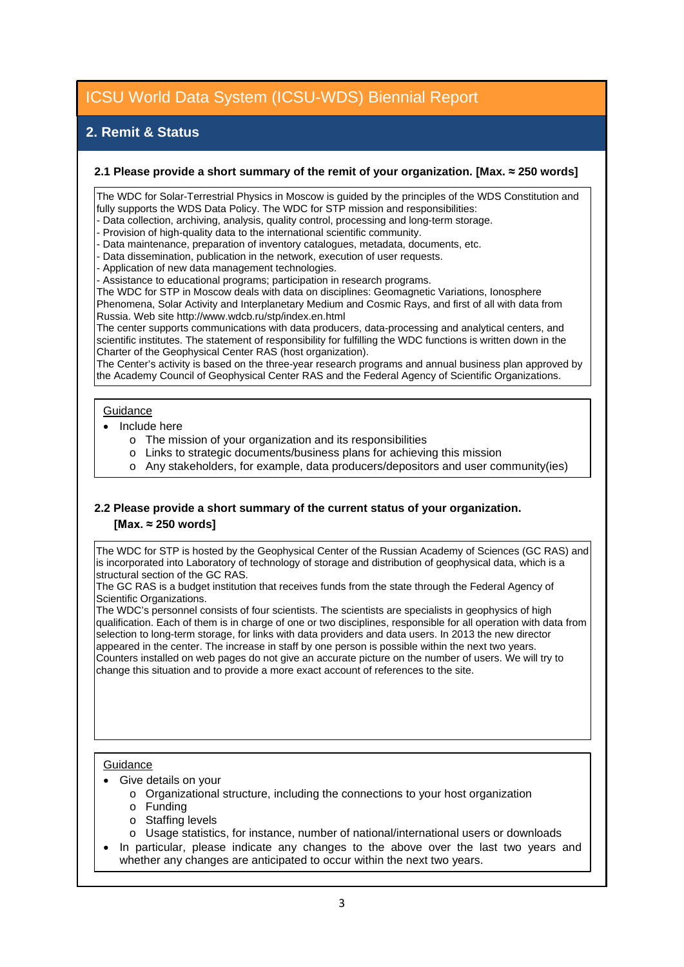## **2. Remit & Status**

#### **2.1 Please provide a short summary of the remit of your organization. [Max. ≈ 250 words]**

The WDC for Solar-Terrestrial Physics in Moscow is guided by the principles of the WDS Constitution and fully supports the WDS Data Policy. The WDC for STP mission and responsibilities:

- Data collection, archiving, analysis, quality control, processing and long-term storage.

- Provision of high-quality data to the international scientific community.
- Data maintenance, preparation of inventory catalogues, metadata, documents, etc.
- Data dissemination, publication in the network, execution of user requests.
- Application of new data management technologies.

- Assistance to educational programs; participation in research programs.

The WDC for STP in Moscow deals with data on disciplines: Geomagnetic Variations, Ionosphere Phenomena, Solar Activity and Interplanetary Medium and Cosmic Rays, and first of all with data from Russia. Web site http://www.wdcb.ru/stp/index.en.html

The center supports communications with data producers, data-processing and analytical centers, and scientific institutes. The statement of responsibility for fulfilling the WDC functions is written down in the Charter of the Geophysical Center RAS (host organization).

The Center's activity is based on the three-year research programs and annual business plan approved by the Academy Council of Geophysical Center RAS and the Federal Agency of Scientific Organizations.

#### **Guidance**

- Include here
	- o The mission of your organization and its responsibilities
	- o Links to strategic documents/business plans for achieving this mission
	- o Any stakeholders, for example, data producers/depositors and user community(ies)

#### **2.2 Please provide a short summary of the current status of your organization. [Max. ≈ 250 words]**

The WDC for STP is hosted by the Geophysical Center of the Russian Academy of Sciences (GC RAS) and is incorporated into Laboratory of technology of storage and distribution of geophysical data, which is a structural section of the GC RAS.

The GC RAS is a budget institution that receives funds from the state through the Federal Agency of Scientific Organizations.

The WDC's personnel consists of four scientists. The scientists are specialists in geophysics of high qualification. Each of them is in charge of one or two disciplines, responsible for all operation with data from selection to long-term storage, for links with data providers and data users. In 2013 the new director appeared in the center. The increase in staff by one person is possible within the next two years. Counters installed on web pages do not give an accurate picture on the number of users. We will try to change this situation and to provide a more exact account of references to the site.

#### **Guidance**

- Give details on your
	- o Organizational structure, including the connections to your host organization
	- o Funding
	- o Staffing levels
	- o Usage statistics, for instance, number of national/international users or downloads
- In particular, please indicate any changes to the above over the last two years and whether any changes are anticipated to occur within the next two years.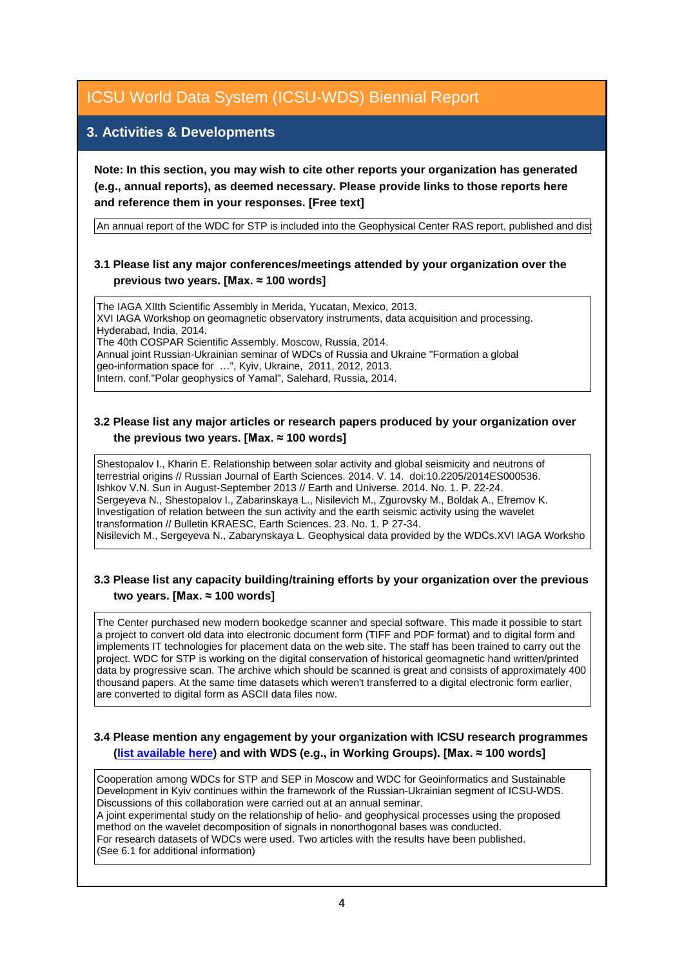### **3. Activities & Developments**

**Note: In this section, you may wish to cite other reports your organization has generated (e.g., annual reports), as deemed necessary. Please provide links to those reports here and reference them in your responses. [Free text]**

An annual report of the WDC for STP is included into the Geophysical Center RAS report, published and dist

#### **3.1 Please list any major conferences/meetings attended by your organization over the previous two years. [Max. ≈ 100 words]**

The IAGA XIIth Scientific Assembly in Merida, Yucatan, Mexico, 2013. XVI IAGA Workshop on geomagnetic observatory instruments, data acquisition and processing. Hyderabad, India, 2014. The 40th COSPAR Scientific Assembly. Moscow, Russia, 2014. Annual joint Russian-Ukrainian seminar of WDCs of Russia and Ukraine "Formation a global

geo-information space for …", Kyiv, Ukraine, 2011, 2012, 2013. Intern. conf."Polar geophysics of Yamal", Salehard, Russia, 2014.

#### **3.2 Please list any major articles or research papers produced by your organization over the previous two years. [Max. ≈ 100 words]**

Shestopalov I., Kharin E. Relationship between solar activity and global seismicity and neutrons of terrestrial origins // Russian Journal of Earth Sciences. 2014. V. 14. doi:10.2205/2014ES000536. Ishkov V.N. Sun in August-September 2013 // Earth and Universe. 2014. No. 1. P. 22-24. Sergeyeva N., Shestopalov I., Zabarinskaya L., Nisilevich M., Zgurovsky M., Boldak A., Efremov K. Investigation of relation between the sun activity and the earth seismic activity using the wavelet transformation // Bulletin KRAESC, Earth Sciences. 23. No. 1. P 27-34. Nisilevich M., Sergeyeva N., Zabarynskaya L. Geophysical data provided by the WDСs.XVI IAGA Worksho

#### **3.3 Please list any capacity building/training efforts by your organization over the previous two years. [Max. ≈ 100 words]**

The Center purchased new modern bookedge scanner and special software. This made it possible to start a project to convert old data into electronic document form (TIFF and PDF format) and to digital form and implements IT technologies for placement data on the web site. The staff has been trained to carry out the project. WDC for STP is working on the digital conservation of historical geomagnetic hand written/printed data by progressive scan. The archive which should be scanned is great and consists of approximately 400 thousand papers. At the same time datasets which weren't transferred to a digital electronic form earlier, are converted to digital form as ASCII data files now.

#### **3.4 Please mention any engagement by your organization with ICSU research programmes [\(list available here\)](http://www.icsu.org/what-we-do/@@category_search?path=/icsu/what-we-do&Subject:list=International%20Research%20Collaboration) and with WDS (e.g., in Working Groups). [Max. ≈ 100 words]**

Cooperation among WDCs for STP and SEP in Moscow and WDC for Geoinformatics and Sustainable Development in Kyiv continues within the framework of the Russian-Ukrainian segment of ICSU-WDS. Discussions of this collaboration were carried out at an annual seminar.

A joint experimental study on the relationship of helio- and geophysical processes using the proposed method on the wavelet decomposition of signals in nonorthogonal bases was conducted. For research datasets of WDCs were used. Two articles with the results have been published.

(See 6.1 for additional information)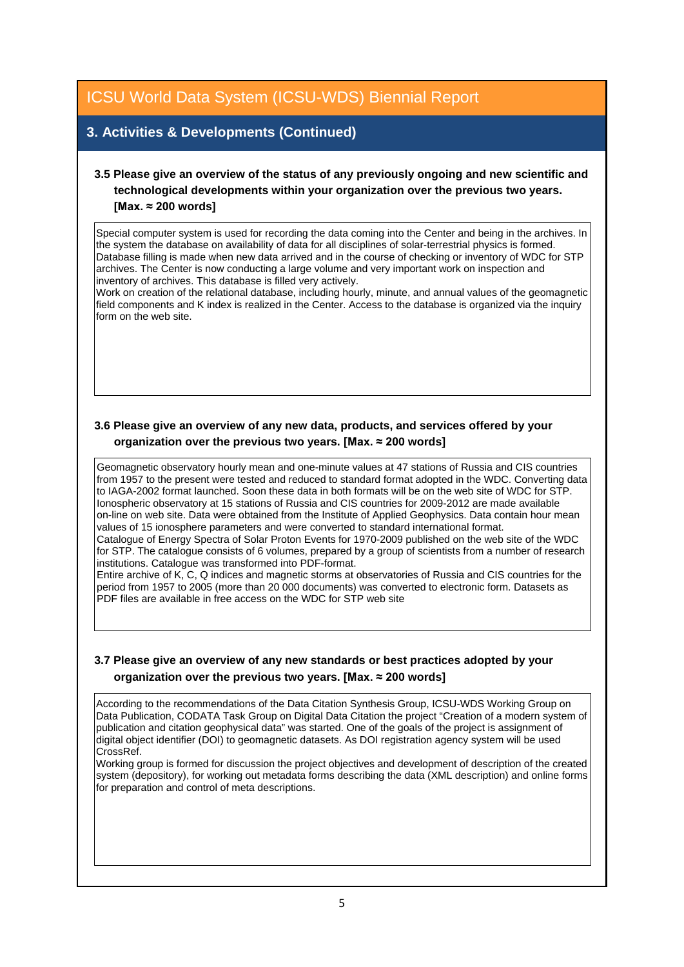## **3. Activities & Developments (Continued)**

### **3.5 Please give an overview of the status of any previously ongoing and new scientific and technological developments within your organization over the previous two years. [Max. ≈ 200 words]**

Special computer system is used for recording the data coming into the Center and being in the archives. In the system the database on availability of data for all disciplines of solar-terrestrial physics is formed. Database filling is made when new data arrived and in the course of checking or inventory of WDC for STP archives. The Center is now conducting a large volume and very important work on inspection and inventory of archives. This database is filled very actively.

Work on creation of the relational database, including hourly, minute, and annual values of the geomagnetic field components and K index is realized in the Center. Access to the database is organized via the inquiry form on the web site.

#### **3.6 Please give an overview of any new data, products, and services offered by your organization over the previous two years. [Max. ≈ 200 words]**

Geomagnetic observatory hourly mean and one-minute values at 47 stations of Russia and CIS countries from 1957 to the present were tested and reduced to standard format adopted in the WDC. Converting data to IAGA-2002 format launched. Soon these data in both formats will be on the web site of WDC for STP. Ionospheric observatory at 15 stations of Russia and CIS countries for 2009-2012 are made available on-line on web site. Data were obtained from the Institute of Applied Geophysics. Data contain hour mean values of 15 ionosphere parameters and were converted to standard international format. Catalogue of Energy Spectra of Solar Proton Events for 1970-2009 published on the web site of the WDC

for STP. The catalogue consists of 6 volumes, prepared by a group of scientists from a number of research institutions. Catalogue was transformed into PDF-format.

Entire archive of K, C, Q indices and magnetic storms at observatories of Russia and CIS countries for the period from 1957 to 2005 (more than 20 000 documents) was converted to electronic form. Datasets as PDF files are available in free access on the WDC for STP web site

#### **3.7 Please give an overview of any new standards or best practices adopted by your organization over the previous two years. [Max. ≈ 200 words]**

According to the recommendations of the Data Citation Synthesis Group, ICSU-WDS Working Group on Data Publication, CODATA Task Group on Digital Data Citation the project "Creation of a modern system of publication and citation geophysical data" was started. One of the goals of the project is assignment of digital object identifier (DOI) to geomagnetic datasets. As DOI registration agency system will be used CrossRef.

Working group is formed for discussion the project objectives and development of description of the created system (depository), for working out metadata forms describing the data (XML description) and online forms for preparation and control of meta descriptions.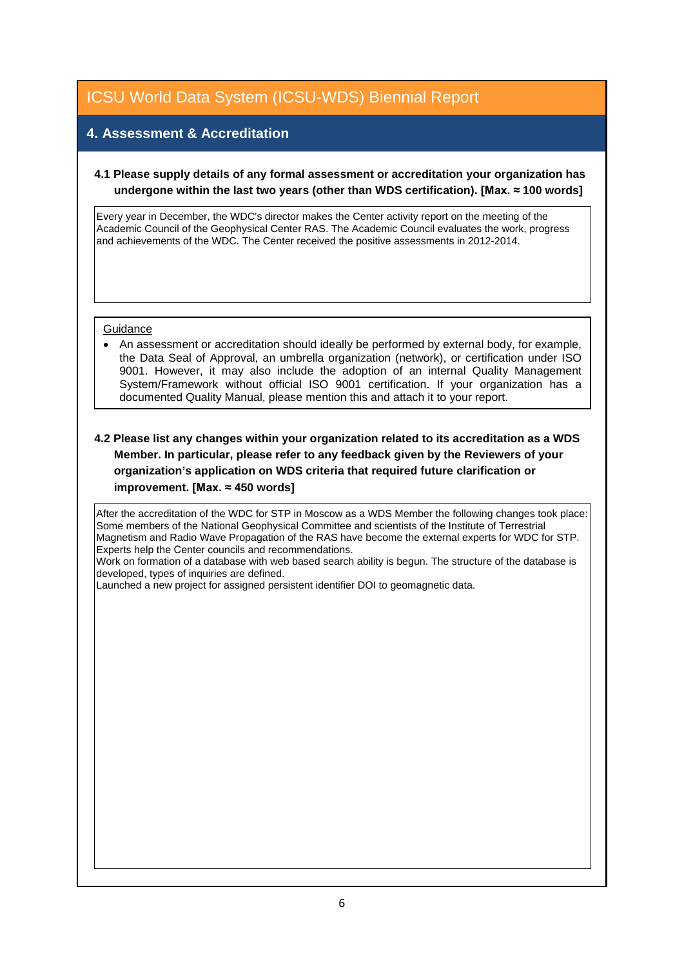## **4. Assessment & Accreditation**

#### **4.1 Please supply details of any formal assessment or accreditation your organization has undergone within the last two years (other than WDS certification). [Max. ≈ 100 words]**

Every year in December, the WDC's director makes the Center activity report on the meeting of the Academic Council of the Geophysical Center RAS. The Academic Council evaluates the work, progress and achievements of the WDC. The Center received the positive assessments in 2012-2014.

#### **Guidance**

• An assessment or accreditation should ideally be performed by external body, for example, the Data Seal of Approval, an umbrella organization (network), or certification under ISO 9001. However, it may also include the adoption of an internal Quality Management System/Framework without official ISO 9001 certification. If your organization has a documented Quality Manual, please mention this and attach it to your report.

#### **4.2 Please list any changes within your organization related to its accreditation as a WDS Member. In particular, please refer to any feedback given by the Reviewers of your organization's application on WDS criteria that required future clarification or improvement. [Max. ≈ 450 words]**

After the accreditation of the WDC for STP in Moscow as a WDS Member the following changes took place: Some members of the National Geophysical Committee and scientists of the Institute of Terrestrial Magnetism and Radio Wave Propagation of the RAS have become the external experts for WDC for STP. Experts help the Сenter councils and recommendations.

Work on formation of a database with web based search ability is begun. The structure of the database is developed, types of inquiries are defined.

Launched a new project for assigned persistent identifier DOI to geomagnetic data.